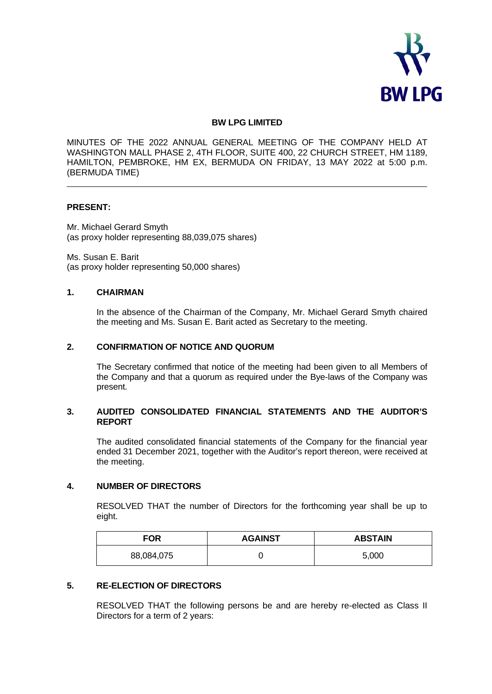

### **BW LPG LIMITED**

MINUTES OF THE 2022 ANNUAL GENERAL MEETING OF THE COMPANY HELD AT WASHINGTON MALL PHASE 2, 4TH FLOOR, SUITE 400, 22 CHURCH STREET, HM 1189, HAMILTON, PEMBROKE, HM EX, BERMUDA ON FRIDAY, 13 MAY 2022 at 5:00 p.m. (BERMUDA TIME)

### **PRESENT:**

Mr. Michael Gerard Smyth (as proxy holder representing 88,039,075 shares)

Ms. Susan E. Barit (as proxy holder representing 50,000 shares)

### **1. CHAIRMAN**

In the absence of the Chairman of the Company, Mr. Michael Gerard Smyth chaired the meeting and Ms. Susan E. Barit acted as Secretary to the meeting.

### **2. CONFIRMATION OF NOTICE AND QUORUM**

The Secretary confirmed that notice of the meeting had been given to all Members of the Company and that a quorum as required under the Bye-laws of the Company was present.

### **3. AUDITED CONSOLIDATED FINANCIAL STATEMENTS AND THE AUDITOR'S REPORT**

The audited consolidated financial statements of the Company for the financial year ended 31 December 2021, together with the Auditor's report thereon, were received at the meeting.

#### **4. NUMBER OF DIRECTORS**

RESOLVED THAT the number of Directors for the forthcoming year shall be up to eight.

| FOR        | <b>AGAINST</b> | <b>ABSTAIN</b> |
|------------|----------------|----------------|
| 88,084,075 |                | 5,000          |

## **5. RE-ELECTION OF DIRECTORS**

RESOLVED THAT the following persons be and are hereby re-elected as Class II Directors for a term of 2 years: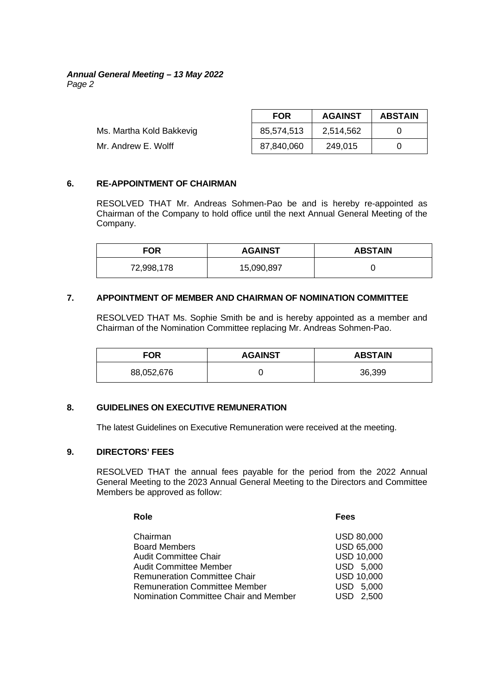# *Annual General Meeting – 13 May 2022 Page 2*

|                          | <b>FOR</b> | <b>AGAINST</b> | <b>ABSTAIN</b> |
|--------------------------|------------|----------------|----------------|
| Ms. Martha Kold Bakkevig | 85,574,513 | 2,514,562      |                |
| Mr. Andrew E. Wolff      | 87,840,060 | 249,015        |                |

# **6. RE-APPOINTMENT OF CHAIRMAN**

RESOLVED THAT Mr. Andreas Sohmen-Pao be and is hereby re-appointed as Chairman of the Company to hold office until the next Annual General Meeting of the Company.

| <b>FOR</b> | <b>AGAINST</b> | <b>ABSTAIN</b> |
|------------|----------------|----------------|
| 72,998,178 | 15,090,897     |                |

### **7. APPOINTMENT OF MEMBER AND CHAIRMAN OF NOMINATION COMMITTEE**

RESOLVED THAT Ms. Sophie Smith be and is hereby appointed as a member and Chairman of the Nomination Committee replacing Mr. Andreas Sohmen-Pao.

| <b>FOR</b> | <b>AGAINST</b> | <b>ABSTAIN</b> |
|------------|----------------|----------------|
| 88,052,676 |                | 36,399         |

### **8. GUIDELINES ON EXECUTIVE REMUNERATION**

The latest Guidelines on Executive Remuneration were received at the meeting.

#### **9. DIRECTORS' FEES**

RESOLVED THAT the annual fees payable for the period from the 2022 Annual General Meeting to the 2023 Annual General Meeting to the Directors and Committee Members be approved as follow:

| Role                                  | Fees              |
|---------------------------------------|-------------------|
| Chairman                              | <b>USD 80,000</b> |
| <b>Board Members</b>                  | USD 65,000        |
| <b>Audit Committee Chair</b>          | <b>USD 10,000</b> |
| <b>Audit Committee Member</b>         | USD 5,000         |
| <b>Remuneration Committee Chair</b>   | <b>USD 10,000</b> |
| <b>Remuneration Committee Member</b>  | USD 5,000         |
| Nomination Committee Chair and Member | 2,500             |